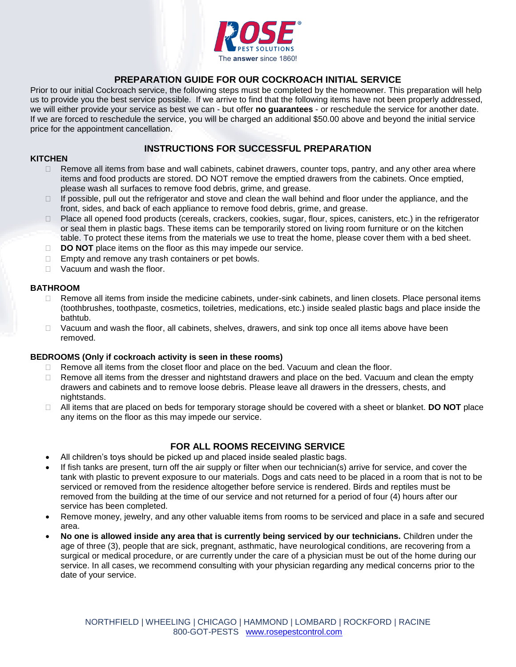

## **PREPARATION GUIDE FOR OUR COCKROACH INITIAL SERVICE**

Prior to our initial Cockroach service, the following steps must be completed by the homeowner. This preparation will help us to provide you the best service possible. If we arrive to find that the following items have not been properly addressed, we will either provide your service as best we can - but offer **no guarantees** - or reschedule the service for another date. If we are forced to reschedule the service, you will be charged an additional \$50.00 above and beyond the initial service price for the appointment cancellation.

## **INSTRUCTIONS FOR SUCCESSFUL PREPARATION**

### **KITCHEN**

- $\Box$  Remove all items from base and wall cabinets, cabinet drawers, counter tops, pantry, and any other area where items and food products are stored. DO NOT remove the emptied drawers from the cabinets. Once emptied, please wash all surfaces to remove food debris, grime, and grease.
- $\Box$  If possible, pull out the refrigerator and stove and clean the wall behind and floor under the appliance, and the front, sides, and back of each appliance to remove food debris, grime, and grease.
- $\Box$  Place all opened food products (cereals, crackers, cookies, sugar, flour, spices, canisters, etc.) in the refrigerator or seal them in plastic bags. These items can be temporarily stored on living room furniture or on the kitchen table. To protect these items from the materials we use to treat the home, please cover them with a bed sheet.
- **DO NOT** place items on the floor as this may impede our service.
- $\Box$  Empty and remove any trash containers or pet bowls.
- □ Vacuum and wash the floor.

### **BATHROOM**

- $\Box$  Remove all items from inside the medicine cabinets, under-sink cabinets, and linen closets. Place personal items (toothbrushes, toothpaste, cosmetics, toiletries, medications, etc.) inside sealed plastic bags and place inside the bathtub.
- $\Box$  Vacuum and wash the floor, all cabinets, shelves, drawers, and sink top once all items above have been removed.

### **BEDROOMS (Only if cockroach activity is seen in these rooms)**

- $\Box$  Remove all items from the closet floor and place on the bed. Vacuum and clean the floor.
- $\Box$  Remove all items from the dresser and nightstand drawers and place on the bed. Vacuum and clean the empty drawers and cabinets and to remove loose debris. Please leave all drawers in the dressers, chests, and nightstands.
- All items that are placed on beds for temporary storage should be covered with a sheet or blanket. **DO NOT** place any items on the floor as this may impede our service.

## **FOR ALL ROOMS RECEIVING SERVICE**

- All children's toys should be picked up and placed inside sealed plastic bags.
- If fish tanks are present, turn off the air supply or filter when our technician(s) arrive for service, and cover the tank with plastic to prevent exposure to our materials. Dogs and cats need to be placed in a room that is not to be serviced or removed from the residence altogether before service is rendered. Birds and reptiles must be removed from the building at the time of our service and not returned for a period of four (4) hours after our service has been completed.
- Remove money, jewelry, and any other valuable items from rooms to be serviced and place in a safe and secured area.
- **No one is allowed inside any area that is currently being serviced by our technicians.** Children under the age of three (3), people that are sick, pregnant, asthmatic, have neurological conditions, are recovering from a surgical or medical procedure, or are currently under the care of a physician must be out of the home during our service. In all cases, we recommend consulting with your physician regarding any medical concerns prior to the date of your service.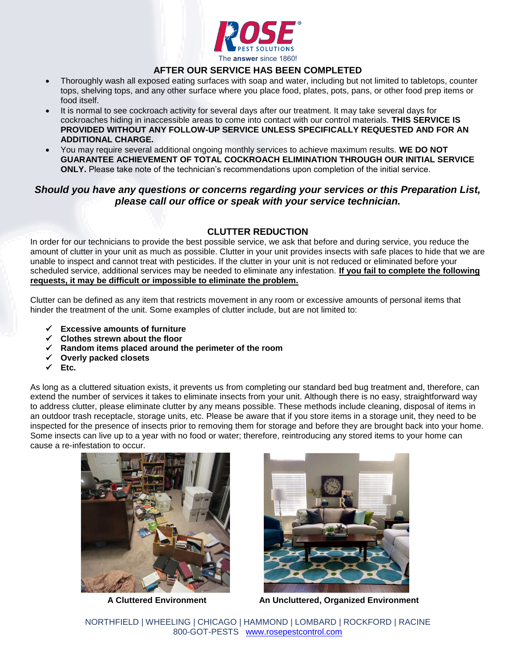

# **AFTER OUR SERVICE HAS BEEN COMPLETED**

- Thoroughly wash all exposed eating surfaces with soap and water, including but not limited to tabletops, counter tops, shelving tops, and any other surface where you place food, plates, pots, pans, or other food prep items or food itself.
- It is normal to see cockroach activity for several days after our treatment. It may take several days for cockroaches hiding in inaccessible areas to come into contact with our control materials. **THIS SERVICE IS PROVIDED WITHOUT ANY FOLLOW-UP SERVICE UNLESS SPECIFICALLY REQUESTED AND FOR AN ADDITIONAL CHARGE.**
- You may require several additional ongoing monthly services to achieve maximum results. **WE DO NOT GUARANTEE ACHIEVEMENT OF TOTAL COCKROACH ELIMINATION THROUGH OUR INITIAL SERVICE ONLY.** Please take note of the technician's recommendations upon completion of the initial service.

# *Should you have any questions or concerns regarding your services or this Preparation List, please call our office or speak with your service technician.*

# **CLUTTER REDUCTION**

In order for our technicians to provide the best possible service, we ask that before and during service, you reduce the amount of clutter in your unit as much as possible. Clutter in your unit provides insects with safe places to hide that we are unable to inspect and cannot treat with pesticides. If the clutter in your unit is not reduced or eliminated before your scheduled service, additional services may be needed to eliminate any infestation. **If you fail to complete the following requests, it may be difficult or impossible to eliminate the problem.**

Clutter can be defined as any item that restricts movement in any room or excessive amounts of personal items that hinder the treatment of the unit. Some examples of clutter include, but are not limited to:

- **Excessive amounts of furniture**
- **Clothes strewn about the floor**
- **Random items placed around the perimeter of the room**
- **Overly packed closets**
- **Etc.**

As long as a cluttered situation exists, it prevents us from completing our standard bed bug treatment and, therefore, can extend the number of services it takes to eliminate insects from your unit. Although there is no easy, straightforward way to address clutter, please eliminate clutter by any means possible. These methods include cleaning, disposal of items in an outdoor trash receptacle, storage units, etc. Please be aware that if you store items in a storage unit, they need to be inspected for the presence of insects prior to removing them for storage and before they are brought back into your home. Some insects can live up to a year with no food or water; therefore, reintroducing any stored items to your home can cause a re-infestation to occur.





 **A Cluttered Environment An Uncluttered, Organized Environment**